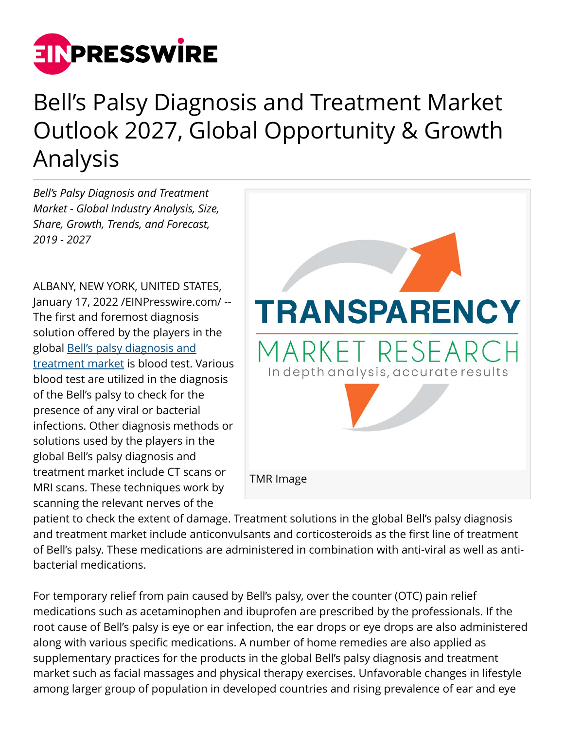

## Bell's Palsy Diagnosis and Treatment Market Outlook 2027, Global Opportunity & Growth Analysis

*Bell's Palsy Diagnosis and Treatment Market - Global Industry Analysis, Size, Share, Growth, Trends, and Forecast, 2019 - 2027*

ALBANY, NEW YORK, UNITED STATES, January 17, 2022 /[EINPresswire.com](http://www.einpresswire.com)/ -- The first and foremost diagnosis solution offered by the players in the global [Bell's palsy diagnosis and](https://www.transparencymarketresearch.com/bells-palsy-diagnosis-and-treatment-market.html) [treatment market](https://www.transparencymarketresearch.com/bells-palsy-diagnosis-and-treatment-market.html) is blood test. Various blood test are utilized in the diagnosis of the Bell's palsy to check for the presence of any viral or bacterial infections. Other diagnosis methods or solutions used by the players in the global Bell's palsy diagnosis and treatment market include CT scans or MRI scans. These techniques work by scanning the relevant nerves of the



patient to check the extent of damage. Treatment solutions in the global Bell's palsy diagnosis and treatment market include anticonvulsants and corticosteroids as the first line of treatment of Bell's palsy. These medications are administered in combination with anti-viral as well as antibacterial medications.

For temporary relief from pain caused by Bell's palsy, over the counter (OTC) pain relief medications such as acetaminophen and ibuprofen are prescribed by the professionals. If the root cause of Bell's palsy is eye or ear infection, the ear drops or eye drops are also administered along with various specific medications. A number of home remedies are also applied as supplementary practices for the products in the global Bell's palsy diagnosis and treatment market such as facial massages and physical therapy exercises. Unfavorable changes in lifestyle among larger group of population in developed countries and rising prevalence of ear and eye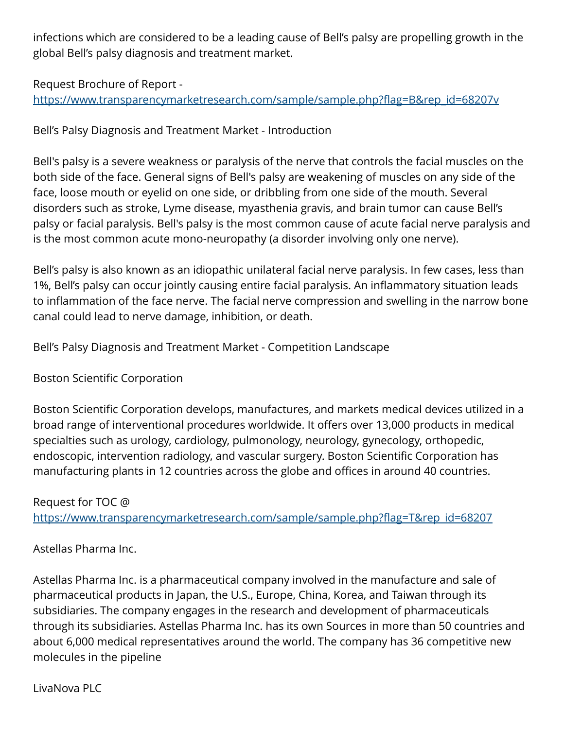infections which are considered to be a leading cause of Bell's palsy are propelling growth in the global Bell's palsy diagnosis and treatment market.

## Request Brochure of Report -

[https://www.transparencymarketresearch.com/sample/sample.php?flag=B&rep\\_id=68207v](https://www.transparencymarketresearch.com/sample/sample.php?flag=B&rep_id=68207v)

Bell's Palsy Diagnosis and Treatment Market - Introduction

Bell's palsy is a severe weakness or paralysis of the nerve that controls the facial muscles on the both side of the face. General signs of Bell's palsy are weakening of muscles on any side of the face, loose mouth or eyelid on one side, or dribbling from one side of the mouth. Several disorders such as stroke, Lyme disease, myasthenia gravis, and brain tumor can cause Bell's palsy or facial paralysis. Bell's palsy is the most common cause of acute facial nerve paralysis and is the most common acute mono-neuropathy (a disorder involving only one nerve).

Bell's palsy is also known as an idiopathic unilateral facial nerve paralysis. In few cases, less than 1%, Bell's palsy can occur jointly causing entire facial paralysis. An inflammatory situation leads to inflammation of the face nerve. The facial nerve compression and swelling in the narrow bone canal could lead to nerve damage, inhibition, or death.

Bell's Palsy Diagnosis and Treatment Market - Competition Landscape

Boston Scientific Corporation

Boston Scientific Corporation develops, manufactures, and markets medical devices utilized in a broad range of interventional procedures worldwide. It offers over 13,000 products in medical specialties such as urology, cardiology, pulmonology, neurology, gynecology, orthopedic, endoscopic, intervention radiology, and vascular surgery. Boston Scientific Corporation has manufacturing plants in 12 countries across the globe and offices in around 40 countries.

Request for TOC @ [https://www.transparencymarketresearch.com/sample/sample.php?flag=T&rep\\_id=68207](https://www.transparencymarketresearch.com/sample/sample.php?flag=T&rep_id=68207)

Astellas Pharma Inc.

Astellas Pharma Inc. is a pharmaceutical company involved in the manufacture and sale of pharmaceutical products in Japan, the U.S., Europe, China, Korea, and Taiwan through its subsidiaries. The company engages in the research and development of pharmaceuticals through its subsidiaries. Astellas Pharma Inc. has its own Sources in more than 50 countries and about 6,000 medical representatives around the world. The company has 36 competitive new molecules in the pipeline

LivaNova PLC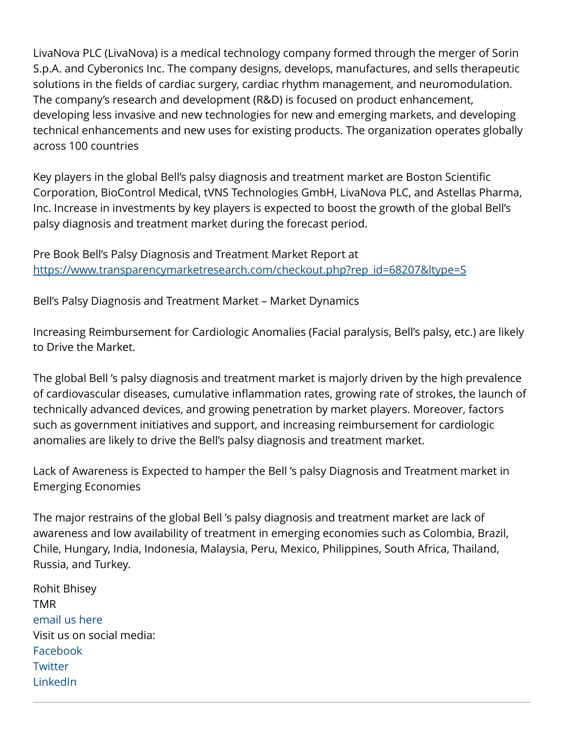LivaNova PLC (LivaNova) is a medical technology company formed through the merger of Sorin S.p.A. and Cyberonics Inc. The company designs, develops, manufactures, and sells therapeutic solutions in the fields of cardiac surgery, cardiac rhythm management, and neuromodulation. The company's research and development (R&D) is focused on product enhancement, developing less invasive and new technologies for new and emerging markets, and developing technical enhancements and new uses for existing products. The organization operates globally across 100 countries

Key players in the global Bell's palsy diagnosis and treatment market are Boston Scientific Corporation, BioControl Medical, tVNS Technologies GmbH, LivaNova PLC, and Astellas Pharma, Inc. Increase in investments by key players is expected to boost the growth of the global Bell's palsy diagnosis and treatment market during the forecast period.

Pre Book Bell's Palsy Diagnosis and Treatment Market Report at [https://www.transparencymarketresearch.com/checkout.php?rep\\_id=68207&ltype=S](https://www.transparencymarketresearch.com/checkout.php?rep_id=68207&ltype=S)

Bell's Palsy Diagnosis and Treatment Market – Market Dynamics

Increasing Reimbursement for Cardiologic Anomalies (Facial paralysis, Bell's palsy, etc.) are likely to Drive the Market.

The global Bell 's palsy diagnosis and treatment market is majorly driven by the high prevalence of cardiovascular diseases, cumulative inflammation rates, growing rate of strokes, the launch of technically advanced devices, and growing penetration by market players. Moreover, factors such as government initiatives and support, and increasing reimbursement for cardiologic anomalies are likely to drive the Bell's palsy diagnosis and treatment market.

Lack of Awareness is Expected to hamper the Bell 's palsy Diagnosis and Treatment market in Emerging Economies

The major restrains of the global Bell 's palsy diagnosis and treatment market are lack of awareness and low availability of treatment in emerging economies such as Colombia, Brazil, Chile, Hungary, India, Indonesia, Malaysia, Peru, Mexico, Philippines, South Africa, Thailand, Russia, and Turkey.

Rohit Bhisey TMR [email us here](http://www.einpresswire.com/contact_author/3289956) Visit us on social media: [Facebook](https://www.facebook.com/transparencymarketresearch/) **[Twitter](https://twitter.com/research_market)** [LinkedIn](https://www.linkedin.com/company/transparency-market-research/)